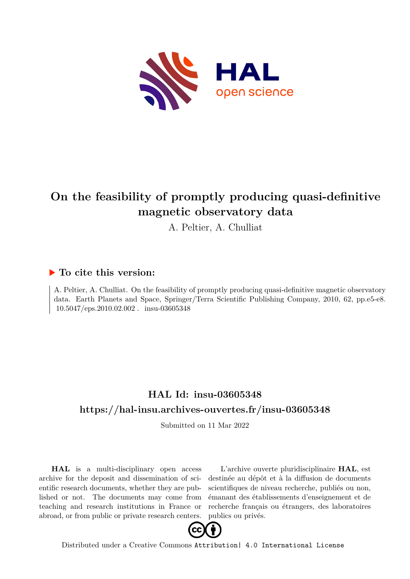

# **On the feasibility of promptly producing quasi-definitive magnetic observatory data**

A. Peltier, A. Chulliat

### **To cite this version:**

A. Peltier, A. Chulliat. On the feasibility of promptly producing quasi-definitive magnetic observatory data. Earth Planets and Space, Springer/Terra Scientific Publishing Company, 2010, 62, pp.e5-e8.  $10.5047/\text{eps}.2010.02.002$ . insu-03605348

## **HAL Id: insu-03605348 <https://hal-insu.archives-ouvertes.fr/insu-03605348>**

Submitted on 11 Mar 2022

**HAL** is a multi-disciplinary open access archive for the deposit and dissemination of scientific research documents, whether they are published or not. The documents may come from teaching and research institutions in France or abroad, or from public or private research centers.

L'archive ouverte pluridisciplinaire **HAL**, est destinée au dépôt et à la diffusion de documents scientifiques de niveau recherche, publiés ou non, émanant des établissements d'enseignement et de recherche français ou étrangers, des laboratoires publics ou privés.



Distributed under a Creative Commons [Attribution| 4.0 International License](http://creativecommons.org/licenses/by/4.0/)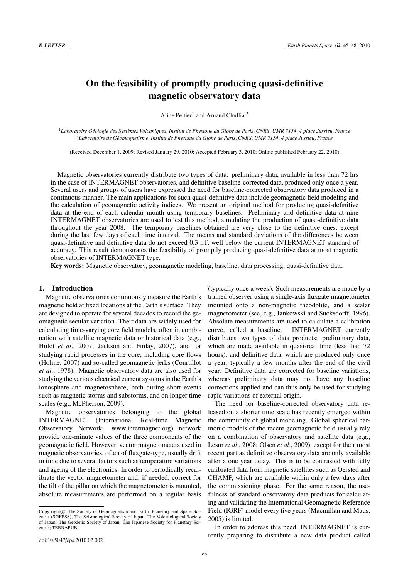## **On the feasibility of promptly producing quasi-definitive magnetic observatory data**

Aline Peltier<sup>1</sup> and Arnaud Chulliat<sup>2</sup>

<sup>1</sup>Laboratoire Géologie des Systèmes Volcaniques, Institut de Physique du Globe de Paris, CNRS, UMR 7154, 4 place Jussieu, France <sup>2</sup>*Laboratoire de Geomagnetisme, Institut de Physique du Globe de Paris, CNRS, UMR 7154, 4 place Jussieu, France ´*

(Received December 1, 2009; Revised January 29, 2010; Accepted February 3, 2010; Online published February 22, 2010)

Magnetic observatories currently distribute two types of data: preliminary data, available in less than 72 hrs in the case of INTERMAGNET observatories, and definitive baseline-corrected data, produced only once a year. Several users and groups of users have expressed the need for baseline-corrected observatory data produced in a continuous manner. The main applications for such quasi-definitive data include geomagnetic field modeling and the calculation of geomagnetic activity indices. We present an original method for producing quasi-definitive data at the end of each calendar month using temporary baselines. Preliminary and definitive data at nine INTERMAGNET observatories are used to test this method, simulating the production of quasi-definitive data throughout the year 2008. The temporary baselines obtained are very close to the definitive ones, except during the last few days of each time interval. The means and standard deviations of the differences between quasi-definitive and definitive data do not exceed 0.3 nT, well below the current INTERMAGNET standard of accuracy. This result demonstrates the feasibility of promptly producing quasi-definitive data at most magnetic observatories of INTERMAGNET type.

**Key words:** Magnetic observatory, geomagnetic modeling, baseline, data processing, quasi-definitive data.

#### **1. Introduction**

Magnetic observatories continuously measure the Earth's magnetic field at fixed locations at the Earth's surface. They are designed to operate for several decades to record the geomagnetic secular variation. Their data are widely used for calculating time-varying core field models, often in combination with satellite magnetic data or historical data (e.g., Hulot *et al.*, 2007; Jackson and Finlay, 2007), and for studying rapid processes in the core, including core flows (Holme, 2007) and so-called geomagnetic jerks (Courtillot *et al.*, 1978). Magnetic observatory data are also used for studying the various electrical current systems in the Earth's ionosphere and magnetosphere, both during short events such as magnetic storms and substorms, and on longer time scales (e.g., McPherron, 2009).

Magnetic observatories belonging to the global INTERMAGNET (International Real-time Magnetic Observatory Network; www.intermagnet.org) network provide one-minute values of the three components of the geomagnetic field. However, vector magnetometers used in magnetic observatories, often of fluxgate-type, usually drift in time due to several factors such as temperature variations and ageing of the electronics. In order to periodically recalibrate the vector magnetometer and, if needed, correct for the tilt of the pillar on which the magnetometer is mounted, absolute measurements are performed on a regular basis

trained observer using a single-axis fluxgate magnetometer mounted onto a non-magnetic theodolite, and a scalar magnetometer (see, e.g., Jankowski and Sucksdorff, 1996). Absolute measurements are used to calculate a calibration curve, called a baseline. INTERMAGNET currently distributes two types of data products: preliminary data, which are made available in quasi-real time (less than 72 hours), and definitive data, which are produced only once a year, typically a few months after the end of the civil year. Definitive data are corrected for baseline variations, whereas preliminary data may not have any baseline corrections applied and can thus only be used for studying rapid variations of external origin.

(typically once a week). Such measurements are made by a

The need for baseline-corrected observatory data released on a shorter time scale has recently emerged within the community of global modeling. Global spherical harmonic models of the recent geomagnetic field usually rely on a combination of observatory and satellite data (e.g., Lesur *et al.*, 2008; Olsen *et al.*, 2009), except for their most recent part as definitive observatory data are only available after a one year delay. This is to be contrasted with fully calibrated data from magnetic satellites such as Oersted and CHAMP, which are available within only a few days after the commissioning phase. For the same reason, the usefulness of standard observatory data products for calculating and validating the International Geomagnetic Reference Field (IGRF) model every five years (Macmillan and Maus, 2005) is limited.

In order to address this need, INTERMAGNET is currently preparing to distribute a new data product called

Copy right $\odot$  The Society of Geomagnetism and Earth, Planetary and Space Sciences (SGEPSS); The Seismological Society of Japan; The Volcanological Society of Japan; The Geodetic Society of Japan; The Japanese Society for Planetary Sciences; TERRAPUB.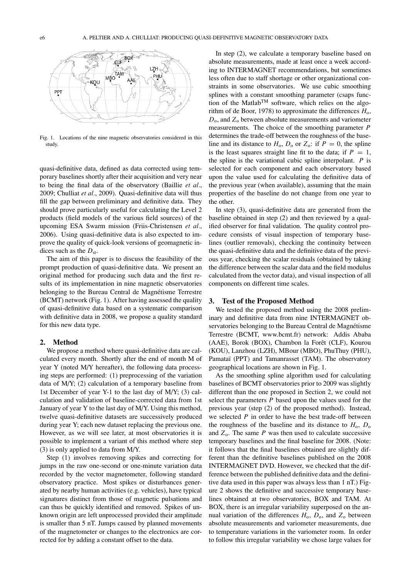

Fig. 1. Locations of the nine magnetic observatories considered in this study.

quasi-definitive data, defined as data corrected using temporary baselines shortly after their acquisition and very near to being the final data of the observatory (Baillie *et al.*, 2009; Chulliat *et al.*, 2009). Quasi-definitive data will thus fill the gap between preliminary and definitive data. They should prove particularly useful for calculating the Level 2 products (field models of the various field sources) of the upcoming ESA Swarm mission (Friis-Christensen *et al.*, 2006). Using quasi-definitive data is also expected to improve the quality of quick-look versions of geomagnetic indices such as the  $D_{\text{st}}$ .

The aim of this paper is to discuss the feasibility of the prompt production of quasi-definitive data. We present an original method for producing such data and the first results of its implementation in nine magnetic observatories belonging to the Bureau Central de Magnétisme Terrestre (BCMT) network (Fig. 1). After having assessed the quality of quasi-definitive data based on a systematic comparison with definitive data in 2008, we propose a quality standard for this new data type.

#### **2. Method**

We propose a method where quasi-definitive data are calculated every month. Shortly after the end of month M of year Y (noted M/Y hereafter), the following data processing steps are performed: (1) preprocessing of the variation data of M/Y; (2) calculation of a temporary baseline from 1st December of year Y-1 to the last day of M/Y; (3) calculation and validation of baseline-corrected data from 1st January of year Y to the last day of M/Y. Using this method, twelve quasi-definitive datasets are successively produced during year Y; each new dataset replacing the previous one. However, as we will see later, at most observatories it is possible to implement a variant of this method where step (3) is only applied to data from M/Y.

Step (1) involves removing spikes and correcting for jumps in the raw one-second or one-minute variation data recorded by the vector magnetometer, following standard observatory practice. Most spikes or disturbances generated by nearby human activities (e.g. vehicles), have typical signatures distinct from those of magnetic pulsations and can thus be quickly identified and removed. Spikes of unknown origin are left unprocessed provided their amplitude is smaller than 5 nT. Jumps caused by planned movements of the magnetometer or changes to the electronics are corrected for by adding a constant offset to the data.

In step (2), we calculate a temporary baseline based on absolute measurements, made at least once a week according to INTERMAGNET recommendations, but sometimes less often due to staff shortage or other organizational constraints in some observatories. We use cubic smoothing splines with a constant smoothing parameter (csaps function of the Matlab<sup>TM</sup> software, which relies on the algorithm of de Boor, 1978) to approximate the differences  $H_0$ , *D*<sub>o</sub>, and *Z*<sub>o</sub> between absolute measurements and variometer measurements. The choice of the smoothing parameter *P* determines the trade-off between the roughness of the baseline and its distance to  $H_0$ ,  $D_0$  or  $Z_0$ : if  $P = 0$ , the spline is the least squares straight line fit to the data; if  $P = 1$ , the spline is the variational cubic spline interpolant. *P* is selected for each component and each observatory based upon the value used for calculating the definitive data of the previous year (when available), assuming that the main properties of the baseline do not change from one year to the other.

In step (3), quasi-definitive data are generated from the baseline obtained in step (2) and then reviewed by a qualified observer for final validation. The quality control procedure consists of visual inspection of temporary baselines (outlier removals), checking the continuity between the quasi-definitive data and the definitive data of the previous year, checking the scalar residuals (obtained by taking the difference between the scalar data and the field modulus calculated from the vector data), and visual inspection of all components on different time scales.

#### **3. Test of the Proposed Method**

We tested the proposed method using the 2008 preliminary and definitive data from nine INTERMAGNET observatories belonging to the Bureau Central de Magnétisme Terrestre (BCMT, www.bcmt.fr) network: Addis Ababa (AAE), Borok (BOX), Chambon la Forêt (CLF), Kourou (KOU), Lanzhou (LZH), MBour (MBO), PhuThuy (PHU), Pamataï (PPT) and Tamanrasset (TAM). The observatory geographical locations are shown in Fig. 1.

As the smoothing spline algorithm used for calculating baselines of BCMT observatories prior to 2009 was slightly different than the one proposed in Section 2, we could not select the parameters *P* based upon the values used for the previous year (step (2) of the proposed method). Instead, we selected *P* in order to have the best trade-off between the roughness of the baseline and its distance to  $H_0$ ,  $D_0$ and  $Z_0$ . The same  $P$  was then used to calculate successive temporary baselines and the final baseline for 2008. (Note: it follows that the final baselines obtained are slightly different than the definitive baselines published on the 2008 INTERMAGNET DVD. However, we checked that the difference between the published definitive data and the definitive data used in this paper was always less than 1 nT.) Figure 2 shows the definitive and successive temporary baselines obtained at two observatories, BOX and TAM. At BOX, there is an irregular variability superposed on the annual variation of the differences  $H_0$ ,  $D_0$ , and  $Z_0$  between absolute measurements and variometer measurements, due to temperature variations in the variometer room. In order to follow this irregular variability we chose large values for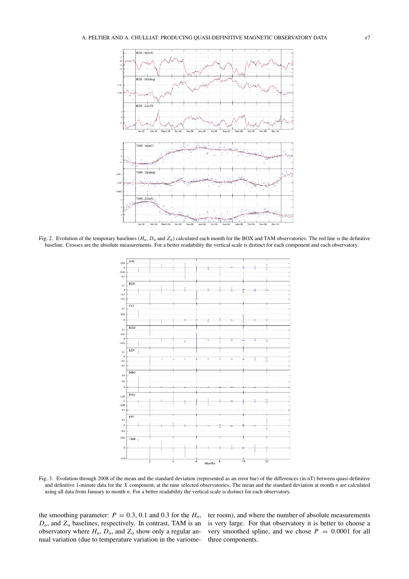

Fig. 2. Evolution of the temporary baselines  $(H_0, D_0$  and  $Z_0)$  calculated each month for the BOX and TAM observatories. The red line is the definitive baseline. Crosses are the absolute measurements. For a better readability the vertical scale is distinct for each component and each observatory.



Fig. 3. Evolution through 2008 of the mean and the standard deviation (represented as an error bar) of the differences (in nT) between quasi-definitive and definitive 1-minute data for the *X* component, at the nine selected observatories. The mean and the standard deviation at month *n* are calculated using all data from January to month *n*. For a better readability the vertical scale is distinct for each observatory.

observatory where  $H_0$ ,  $D_0$ , and  $Z_0$  show only a regular annual variation (due to temperature variation in the variome-

the smoothing parameter:  $P = 0.3, 0.1$  and 0.3 for the  $H_0$ , ter room), and where the number of absolute measurements *D*o, and *Z*<sup>o</sup> baselines, respectively. In contrast, TAM is an is very large. For that observatory it is better to choose a very smoothed spline, and we chose  $P = 0.0001$  for all three components.